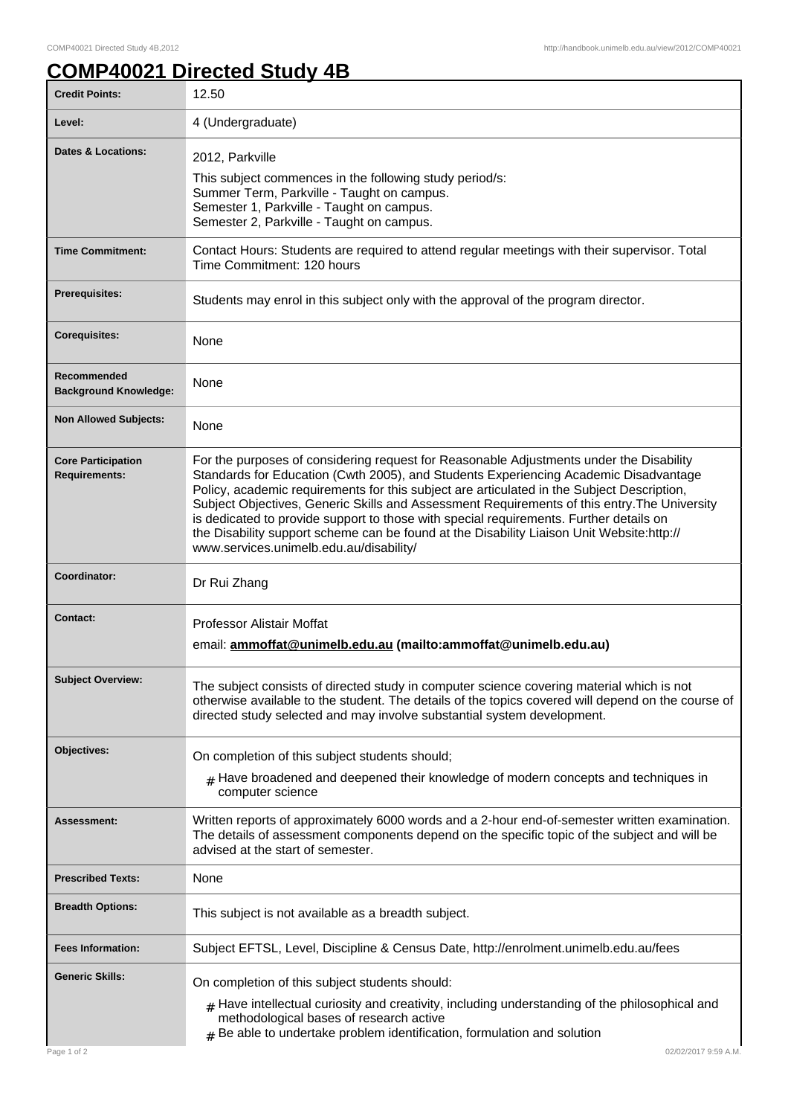## **COMP40021 Directed Study 4B**

| <b>Credit Points:</b>                             | 12.50                                                                                                                                                                                                                                                                                                                                                                                                                                                                                                                                                                                                           |
|---------------------------------------------------|-----------------------------------------------------------------------------------------------------------------------------------------------------------------------------------------------------------------------------------------------------------------------------------------------------------------------------------------------------------------------------------------------------------------------------------------------------------------------------------------------------------------------------------------------------------------------------------------------------------------|
| Level:                                            | 4 (Undergraduate)                                                                                                                                                                                                                                                                                                                                                                                                                                                                                                                                                                                               |
| <b>Dates &amp; Locations:</b>                     | 2012, Parkville<br>This subject commences in the following study period/s:<br>Summer Term, Parkville - Taught on campus.<br>Semester 1, Parkville - Taught on campus.<br>Semester 2, Parkville - Taught on campus.                                                                                                                                                                                                                                                                                                                                                                                              |
| <b>Time Commitment:</b>                           | Contact Hours: Students are required to attend regular meetings with their supervisor. Total<br>Time Commitment: 120 hours                                                                                                                                                                                                                                                                                                                                                                                                                                                                                      |
| <b>Prerequisites:</b>                             | Students may enrol in this subject only with the approval of the program director.                                                                                                                                                                                                                                                                                                                                                                                                                                                                                                                              |
| <b>Corequisites:</b>                              | None                                                                                                                                                                                                                                                                                                                                                                                                                                                                                                                                                                                                            |
| Recommended<br><b>Background Knowledge:</b>       | None                                                                                                                                                                                                                                                                                                                                                                                                                                                                                                                                                                                                            |
| <b>Non Allowed Subjects:</b>                      | None                                                                                                                                                                                                                                                                                                                                                                                                                                                                                                                                                                                                            |
| <b>Core Participation</b><br><b>Requirements:</b> | For the purposes of considering request for Reasonable Adjustments under the Disability<br>Standards for Education (Cwth 2005), and Students Experiencing Academic Disadvantage<br>Policy, academic requirements for this subject are articulated in the Subject Description,<br>Subject Objectives, Generic Skills and Assessment Requirements of this entry. The University<br>is dedicated to provide support to those with special requirements. Further details on<br>the Disability support scheme can be found at the Disability Liaison Unit Website:http://<br>www.services.unimelb.edu.au/disability/ |
| Coordinator:                                      | Dr Rui Zhang                                                                                                                                                                                                                                                                                                                                                                                                                                                                                                                                                                                                    |
| <b>Contact:</b>                                   | <b>Professor Alistair Moffat</b><br>email: ammoffat@unimelb.edu.au (mailto:ammoffat@unimelb.edu.au)                                                                                                                                                                                                                                                                                                                                                                                                                                                                                                             |
| <b>Subject Overview:</b>                          | The subject consists of directed study in computer science covering material which is not<br>otherwise available to the student. The details of the topics covered will depend on the course of<br>directed study selected and may involve substantial system development.                                                                                                                                                                                                                                                                                                                                      |
| Objectives:                                       | On completion of this subject students should;                                                                                                                                                                                                                                                                                                                                                                                                                                                                                                                                                                  |
|                                                   | $#$ Have broadened and deepened their knowledge of modern concepts and techniques in<br>computer science                                                                                                                                                                                                                                                                                                                                                                                                                                                                                                        |
| Assessment:                                       | Written reports of approximately 6000 words and a 2-hour end-of-semester written examination.<br>The details of assessment components depend on the specific topic of the subject and will be<br>advised at the start of semester.                                                                                                                                                                                                                                                                                                                                                                              |
| <b>Prescribed Texts:</b>                          | None                                                                                                                                                                                                                                                                                                                                                                                                                                                                                                                                                                                                            |
| <b>Breadth Options:</b>                           | This subject is not available as a breadth subject.                                                                                                                                                                                                                                                                                                                                                                                                                                                                                                                                                             |
| <b>Fees Information:</b>                          | Subject EFTSL, Level, Discipline & Census Date, http://enrolment.unimelb.edu.au/fees                                                                                                                                                                                                                                                                                                                                                                                                                                                                                                                            |
| <b>Generic Skills:</b>                            | On completion of this subject students should:<br>$_{\text{\#}}$ Have intellectual curiosity and creativity, including understanding of the philosophical and                                                                                                                                                                                                                                                                                                                                                                                                                                                   |
| Page 1 of 2                                       | methodological bases of research active<br>$#$ Be able to undertake problem identification, formulation and solution<br>02/02/2017 9:59 A.M.                                                                                                                                                                                                                                                                                                                                                                                                                                                                    |